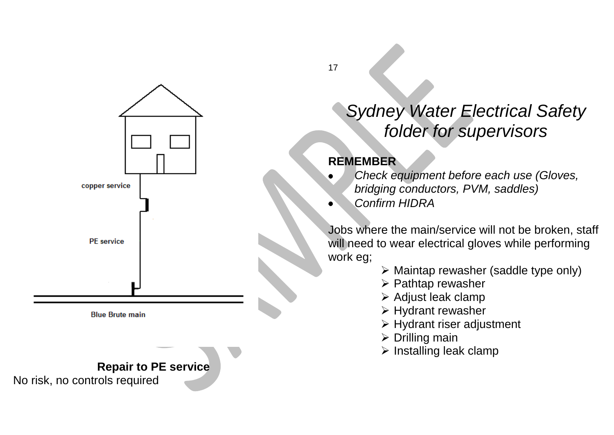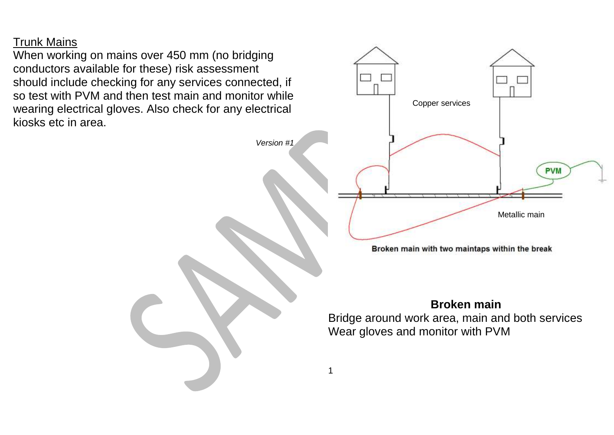Trunk Mains

When working on mains over 450 mm (no bridging conductors available for these) risk assessment should include checking for any services connected, if so test with PVM and then test main and monitor while wearing electrical gloves. Also check for any electrical kiosks etc in area.



Broken main with two maintaps within the break

### **Broken main**

Bridge around work area, main and both services Wear gloves and monitor with PVM

*Version #1*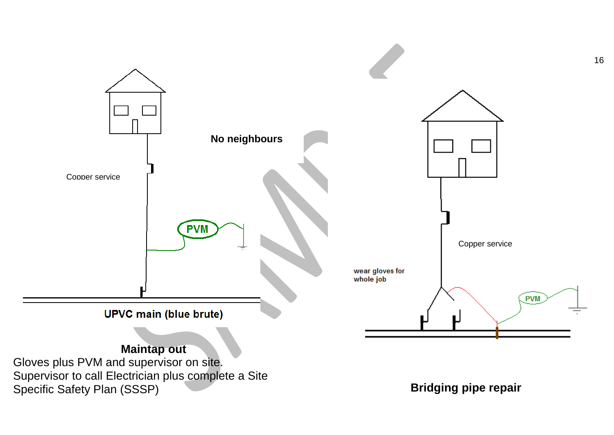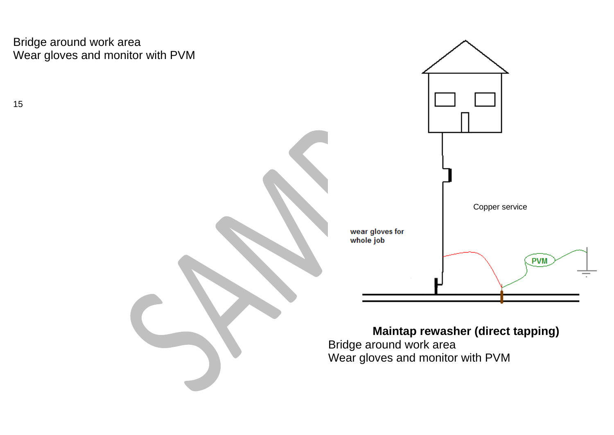Bridge around work area Wear gloves and monitor with PVM

15



**Maintap rewasher (direct tapping)**

Bridge around work area Wear gloves and monitor with PVM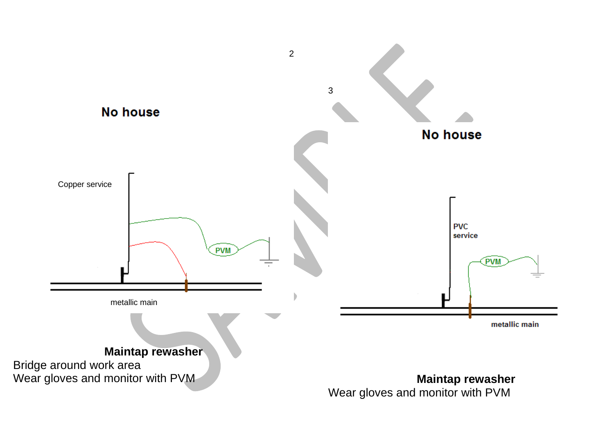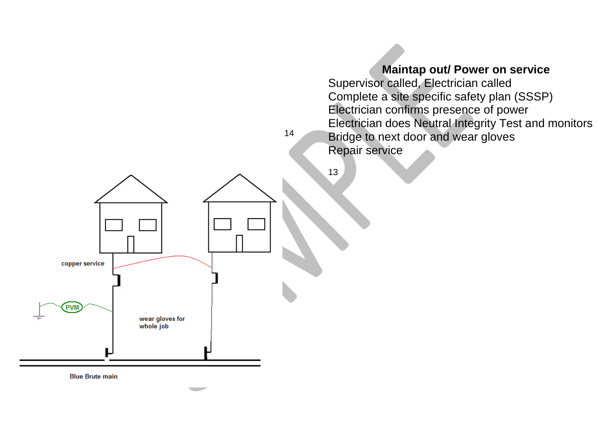

**Blue Brute main**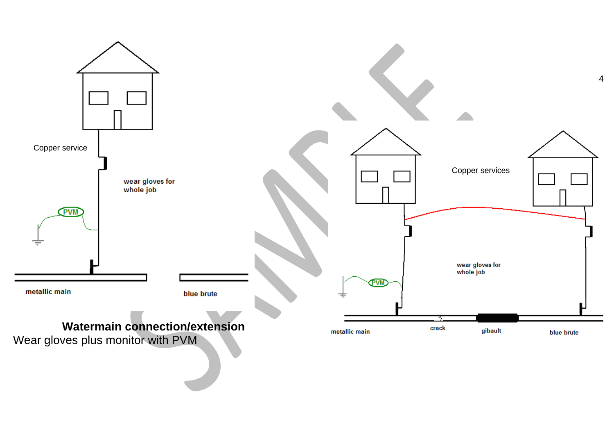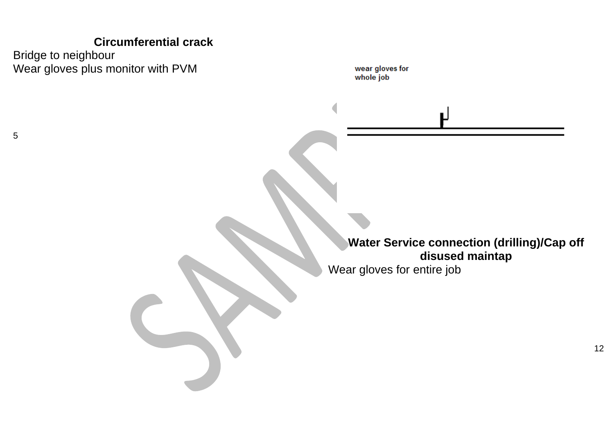### **Circumferential crack**

Bridge to neighbour Wear gloves plus monitor with PVM

wear gloves for whole job

**Water Service connection (drilling)/Cap off disused maintap**

Wear gloves for entire job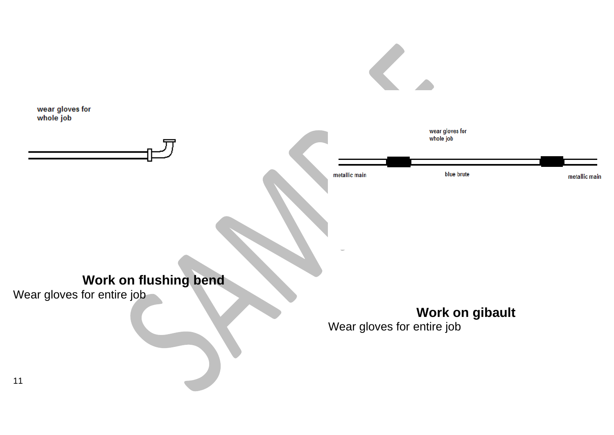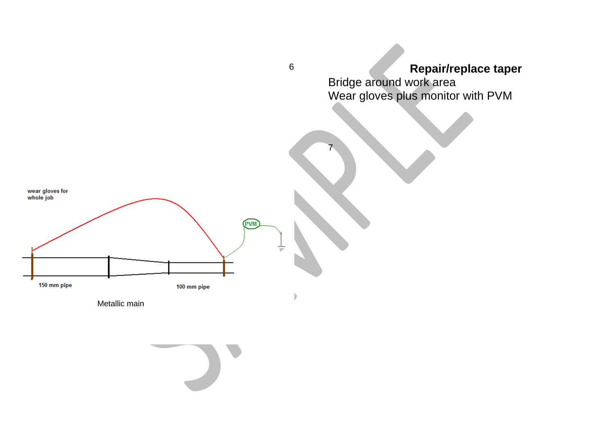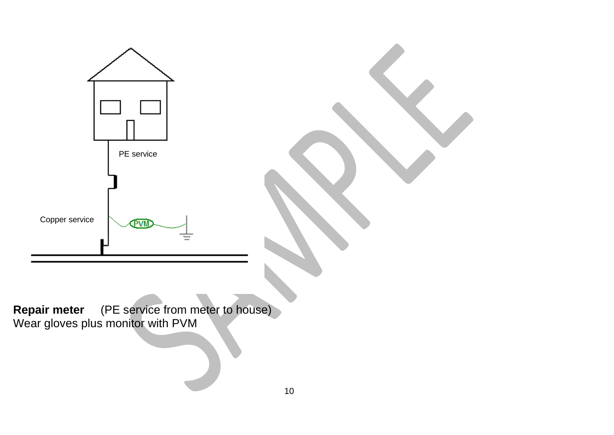

**Repair meter** (PE service from meter to house) Wear gloves plus monitor with PVM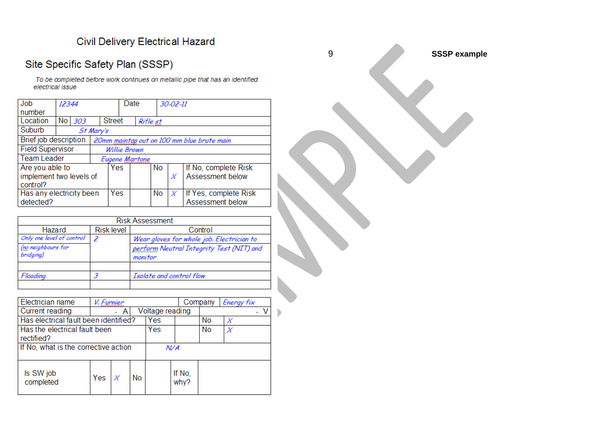### Civil Delivery Electrical Hazard

## Site Specific Safety Plan (SSSP)

To be completed before work continues on metallic pipe that has an identified electrical issue

| Job                      | 12344                 |        |           | Date           |                                            |     |    |                      | $30 - 02 - 11$        |  |  |
|--------------------------|-----------------------|--------|-----------|----------------|--------------------------------------------|-----|----|----------------------|-----------------------|--|--|
| number                   |                       |        |           |                |                                            |     |    |                      |                       |  |  |
| Location                 |                       | No 303 |           |                | <b>Street</b><br>Rifle st                  |     |    |                      |                       |  |  |
| Suburb                   |                       |        | St Mary's |                |                                            |     |    |                      |                       |  |  |
|                          | Brief job description |        |           |                | 20mm maintap out on 100 mm blue brute main |     |    |                      |                       |  |  |
| <b>Field Supervisor</b>  |                       |        |           | Willie Brown   |                                            |     |    |                      |                       |  |  |
| <b>Team Leader</b>       |                       |        |           | Eugene Martone |                                            |     |    |                      |                       |  |  |
| Are you able to          |                       |        | Yes       |                |                                            | No. |    | If No, complete Risk |                       |  |  |
| implement two levels of  |                       |        |           |                |                                            |     |    | Х                    | Assessment below      |  |  |
| control?                 |                       |        |           |                |                                            |     |    |                      |                       |  |  |
| Has any electricity been |                       |        |           | Yes            |                                            |     | No | Х                    | If Yes, complete Risk |  |  |
| detected?                |                       |        |           |                |                                            |     |    |                      | Assessment below      |  |  |

| <b>Risk Assessment</b>          |                   |                                                     |  |  |  |  |  |
|---------------------------------|-------------------|-----------------------------------------------------|--|--|--|--|--|
| Hazard                          | <b>Risk level</b> | Control                                             |  |  |  |  |  |
| Only one level of control       | 2                 | Wear gloves for whole job. Electrician to           |  |  |  |  |  |
| (no neighbours for<br>bridging) |                   | perform Neutral Integrity Test (NIT) and<br>monitor |  |  |  |  |  |
|                                 |                   |                                                     |  |  |  |  |  |
| Flooding                        |                   | Isolate and control flow                            |  |  |  |  |  |
|                                 |                   |                                                     |  |  |  |  |  |

| Electrician name                      |                 |     | Company   | Energy fix |                |  |  |  |
|---------------------------------------|-----------------|-----|-----------|------------|----------------|--|--|--|
| Current reading                       | Voltage reading |     |           |            |                |  |  |  |
| Has electrical fault been identified? | Yes             |     | No        | Х          |                |  |  |  |
| Has the electrical fault been         | Yes             |     | <b>No</b> | Х          |                |  |  |  |
| rectified?                            |                 |     |           |            |                |  |  |  |
| If No, what is the corrective action  |                 | N/A |           |            |                |  |  |  |
| Is SW job<br>completed                | Yes             |     | No        |            | If No.<br>why? |  |  |  |

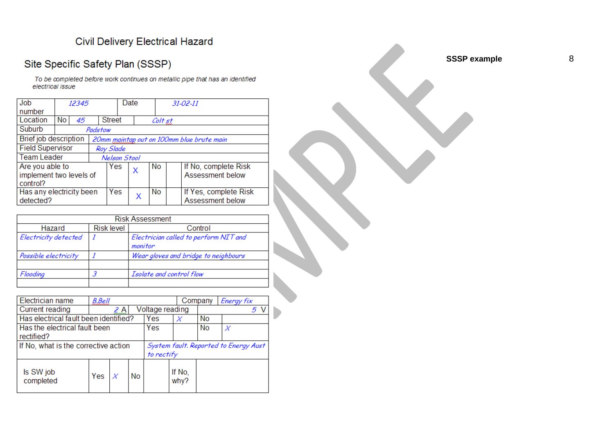### Civil Delivery Electrical Hazard

### Site Specific Safety Plan (SSSP)

To be completed before work continues on metallic pipe that has an identified electrical issue

| Job                                                      | 12345 |    |         |                                           | Date      |         |    | $31 - 02 - 11$                            |  |  |
|----------------------------------------------------------|-------|----|---------|-------------------------------------------|-----------|---------|----|-------------------------------------------|--|--|
| number                                                   |       |    |         |                                           |           |         |    |                                           |  |  |
| Location                                                 | No.   | 45 |         | <b>Street</b>                             |           | Colt st |    |                                           |  |  |
| Suburb                                                   |       |    | Padstow |                                           |           |         |    |                                           |  |  |
| <b>Brief job description</b>                             |       |    |         | 20mm maintap out on 100mm blue brute main |           |         |    |                                           |  |  |
| <b>Field Supervisor</b>                                  |       |    |         |                                           | Roy Slade |         |    |                                           |  |  |
| <b>Team Leader</b>                                       |       |    |         | Nelson Stool                              |           |         |    |                                           |  |  |
| Are you able to<br>implement two levels of<br>  control? |       |    |         | Yes                                       |           | X       | No | If No, complete Risk<br>Assessment below  |  |  |
| Has any electricity been<br>detected?                    |       |    |         |                                           | Yes       | X       | No | If Yes, complete Risk<br>Assessment below |  |  |

|                      |                   | <b>Risk Assessment</b>                |
|----------------------|-------------------|---------------------------------------|
| Hazard               | <b>Risk level</b> | Control                               |
| Electricity detected |                   | Electrician called to perform NIT and |
|                      |                   | monitor                               |
| Possible electricity |                   | Wear gloves and bridge to neighbours  |
|                      |                   |                                       |
| Flooding             |                   | Isolate and control flow              |
|                      |                   |                                       |

| Electrician name                      | <b>B.Bell</b> |                 |    |                                       |                | Company | Energy fix |  |
|---------------------------------------|---------------|-----------------|----|---------------------------------------|----------------|---------|------------|--|
| Current reading                       | 2 A           | Voltage reading |    |                                       | 5.             |         |            |  |
| Has electrical fault been identified? |               | Yes             |    | No                                    |                |         |            |  |
| Has the electrical fault been         |               | Yes             |    | <b>No</b>                             | Х              |         |            |  |
| rectified?                            |               |                 |    |                                       |                |         |            |  |
| If No, what is the corrective action  |               |                 |    | System fault. Reported to Energy Aust |                |         |            |  |
|                                       |               |                 |    | to rectify                            |                |         |            |  |
| Is SW job<br>completed                | Yes           |                 | No |                                       | If No.<br>why? |         |            |  |

**SSSP example**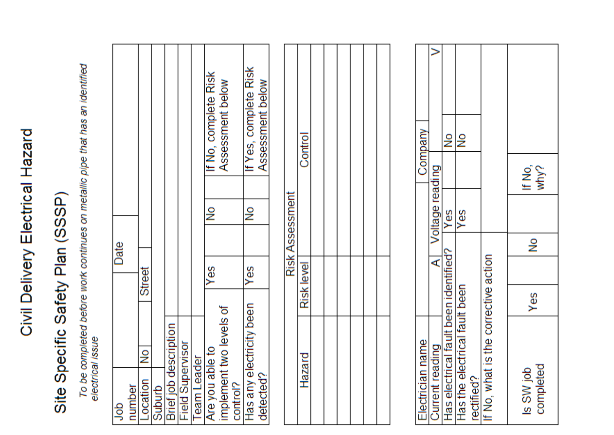## Civil Delivery Electrical Hazard

# Site Specific Safety Plan (SSSP)

To be completed before work continues on metallic pipe that has an identified<br>electrical issue

|      |        |          |        |                       |                         |             | If No, complete Risk | Assessment below        | If Yes, complete Risk    | Assessment below |
|------|--------|----------|--------|-----------------------|-------------------------|-------------|----------------------|-------------------------|--------------------------|------------------|
| Date |        |          |        |                       |                         |             | $\frac{8}{2}$        |                         | $\frac{8}{2}$            |                  |
|      |        | Street   |        |                       |                         |             | Yes                  |                         | Yes                      |                  |
|      |        | I No     |        |                       |                         |             |                      | implement two levels of | Has any electricity been |                  |
| gor  | number | Location | Suburb | Brief job description | <b>Field Supervisor</b> | leam Leader | Are you able to      | control?                |                          | detected?        |

| Company |                 | ş                                     | g                             |                                      |                |
|---------|-----------------|---------------------------------------|-------------------------------|--------------------------------------|----------------|
|         |                 |                                       |                               |                                      | lf No,<br>why? |
|         | Voltage reading | yes                                   | es                            |                                      |                |
|         |                 |                                       |                               |                                      | g              |
|         |                 |                                       |                               |                                      |                |
|         |                 |                                       |                               |                                      |                |
|         |                 | Has electrical fault been identified? | Has the electrical fault been | If No, what is the corrective action | Yes            |